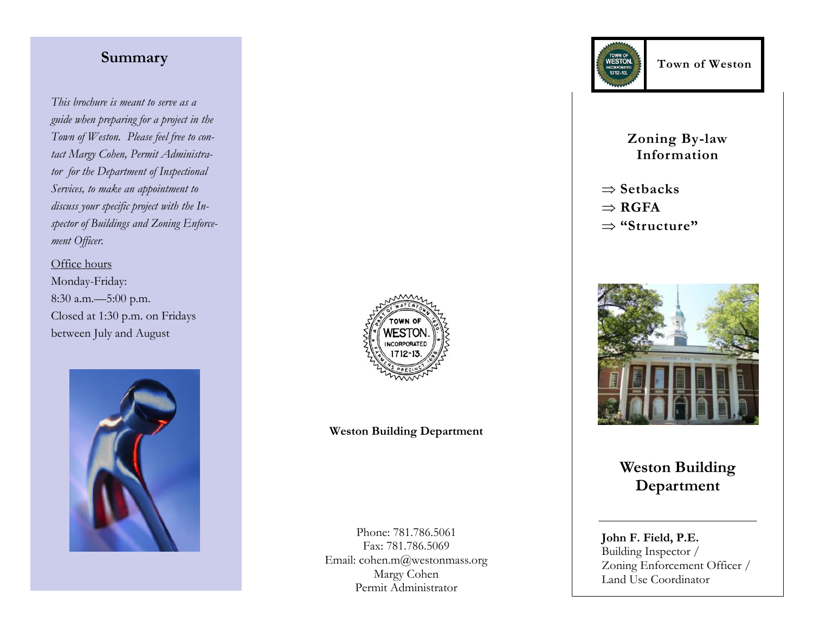# **Summary**

*This brochure is meant to serve as a guide when preparing for a project in the Town of Weston. Please feel free to contact Margy Cohen, Permit Administrator for the Department of Inspectional Services, to make an appointment to discuss your specific project with the Inspector of Buildings and Zoning Enforcement Officer.*

# Office hours

Monday-Friday: 8:30 a.m.—5:00 p.m. Closed at 1:30 p.m. on Fridays between July and August





# **Weston Building Department**

Phone: 781.786.5061 Fax: 781.786.5069 Email: cohen.m@westonmass.org Margy Cohen Permit Administrator



**Zoning By-law Information**

 $\Rightarrow$  Setbacks

 $\Rightarrow$ **RGFA** 

**"Structure"**



**Weston Building Department**

**John F. Field, P.E.** Building Inspector / Zoning Enforcement Officer / Land Use Coordinator